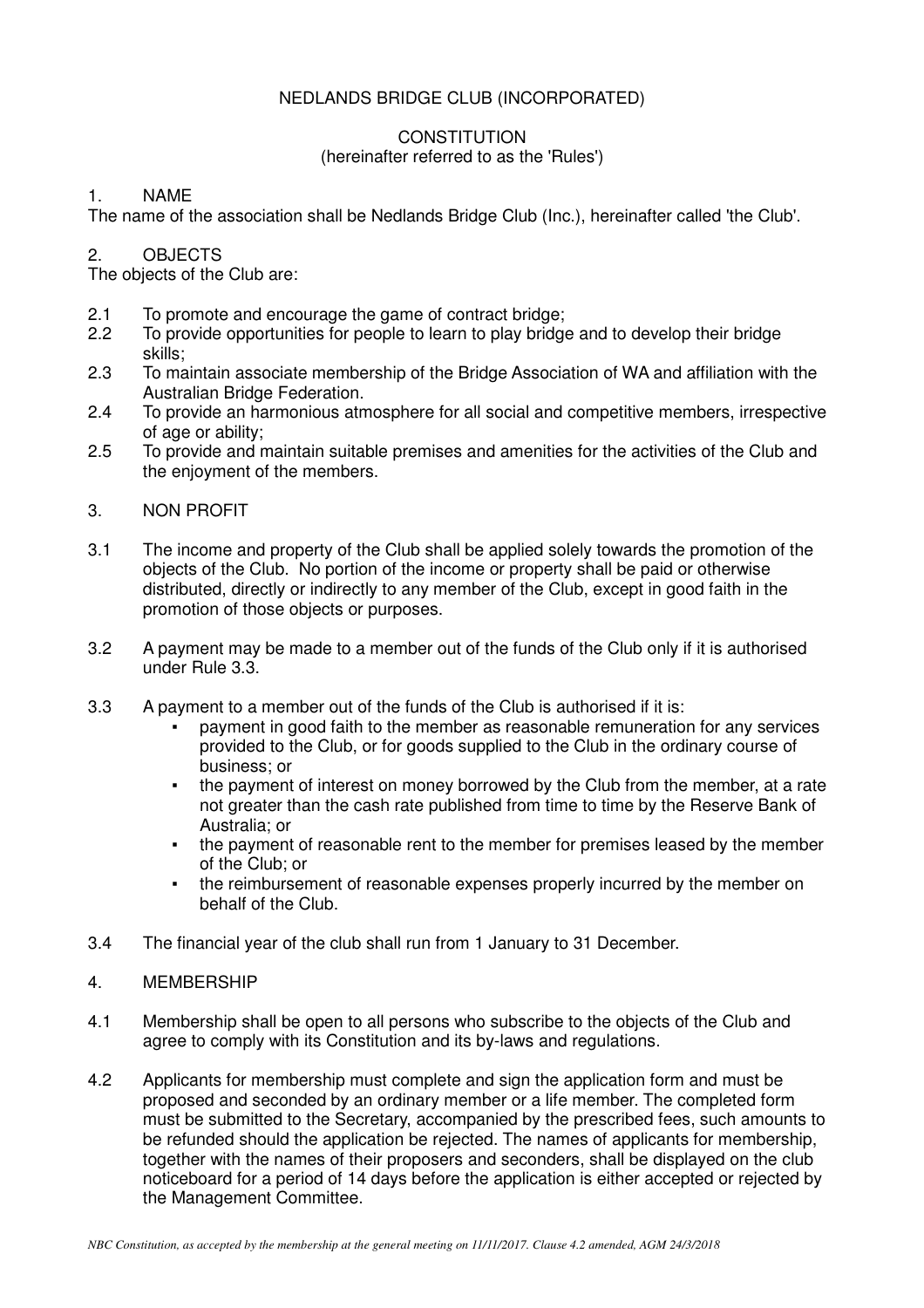# NEDLANDS BRIDGE CLUB (INCORPORATED)

# **CONSTITUTION**

## (hereinafter referred to as the 'Rules')

# 1. NAME

The name of the association shall be Nedlands Bridge Club (Inc.), hereinafter called 'the Club'.

# 2. OBJECTS

The objects of the Club are:

- 2.1 To promote and encourage the game of contract bridge;<br>2.2 To provide opportunities for people to learn to play bridge
- 2.2 To provide opportunities for people to learn to play bridge and to develop their bridge skills;
- 2.3 To maintain associate membership of the Bridge Association of WA and affiliation with the Australian Bridge Federation.
- 2.4 To provide an harmonious atmosphere for all social and competitive members, irrespective of age or ability;<br>2.5 To provide and n
- To provide and maintain suitable premises and amenities for the activities of the Club and the enjoyment of the members.

# 3. NON PROFIT

- 3.1 The income and property of the Club shall be applied solely towards the promotion of the objects of the Club. No portion of the income or property shall be paid or otherwise distributed, directly or indirectly to any member of the Club, except in good faith in the promotion of those objects or purposes.
- 3.2 A payment may be made to a member out of the funds of the Club only if it is authorised under Rule 3.3.
- 3.3 A payment to a member out of the funds of the Club is authorised if it is:
	- payment in good faith to the member as reasonable remuneration for any services provided to the Club, or for goods supplied to the Club in the ordinary course of business; or
	- the payment of interest on money borrowed by the Club from the member, at a rate not greater than the cash rate published from time to time by the Reserve Bank of Australia; or
	- the payment of reasonable rent to the member for premises leased by the member of the Club; or
	- the reimbursement of reasonable expenses properly incurred by the member on behalf of the Club.
- 3.4 The financial year of the club shall run from 1 January to 31 December.
- 4. MEMBERSHIP
- 4.1 Membership shall be open to all persons who subscribe to the objects of the Club and agree to comply with its Constitution and its by-laws and regulations.
- 4.2 Applicants for membership must complete and sign the application form and must be proposed and seconded by an ordinary member or a life member. The completed form must be submitted to the Secretary, accompanied by the prescribed fees, such amounts to be refunded should the application be rejected. The names of applicants for membership, together with the names of their proposers and seconders, shall be displayed on the club noticeboard for a period of 14 days before the application is either accepted or rejected by the Management Committee.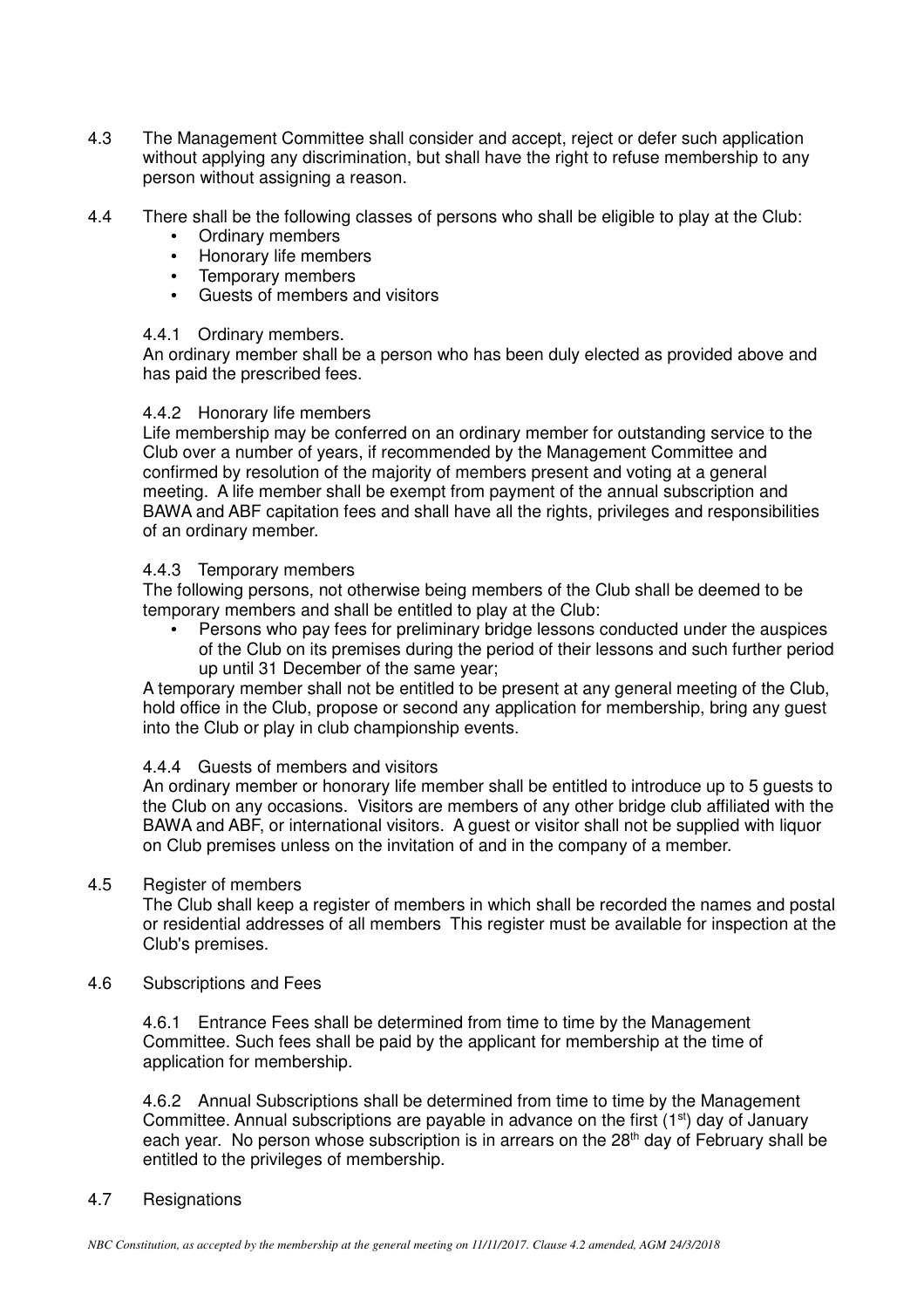- 4.3 The Management Committee shall consider and accept, reject or defer such application without applying any discrimination, but shall have the right to refuse membership to any person without assigning a reason.
- 4.4 There shall be the following classes of persons who shall be eligible to play at the Club:
	- Ordinary members
	- Honorary life members
	- Temporary members
	- Guests of members and visitors

#### 4.4.1 Ordinary members.

An ordinary member shall be a person who has been duly elected as provided above and has paid the prescribed fees.

### 4.4.2 Honorary life members

Life membership may be conferred on an ordinary member for outstanding service to the Club over a number of years, if recommended by the Management Committee and confirmed by resolution of the majority of members present and voting at a general meeting. A life member shall be exempt from payment of the annual subscription and BAWA and ABF capitation fees and shall have all the rights, privileges and responsibilities of an ordinary member.

### 4.4.3 Temporary members

The following persons, not otherwise being members of the Club shall be deemed to be temporary members and shall be entitled to play at the Club:

• Persons who pay fees for preliminary bridge lessons conducted under the auspices of the Club on its premises during the period of their lessons and such further period up until 31 December of the same year;

A temporary member shall not be entitled to be present at any general meeting of the Club, hold office in the Club, propose or second any application for membership, bring any guest into the Club or play in club championship events.

## 4.4.4 Guests of members and visitors

An ordinary member or honorary life member shall be entitled to introduce up to 5 guests to the Club on any occasions. Visitors are members of any other bridge club affiliated with the BAWA and ABF, or international visitors. A guest or visitor shall not be supplied with liquor on Club premises unless on the invitation of and in the company of a member.

#### 4.5 Register of members

 The Club shall keep a register of members in which shall be recorded the names and postal or residential addresses of all members This register must be available for inspection at the Club's premises.

4.6 Subscriptions and Fees

4.6.1 Entrance Fees shall be determined from time to time by the Management Committee. Such fees shall be paid by the applicant for membership at the time of application for membership.

4.6.2 Annual Subscriptions shall be determined from time to time by the Management Committee. Annual subscriptions are payable in advance on the first  $(1<sup>st</sup>)$  day of January each year. No person whose subscription is in arrears on the  $28<sup>th</sup>$  day of February shall be entitled to the privileges of membership.

## 4.7 Resignations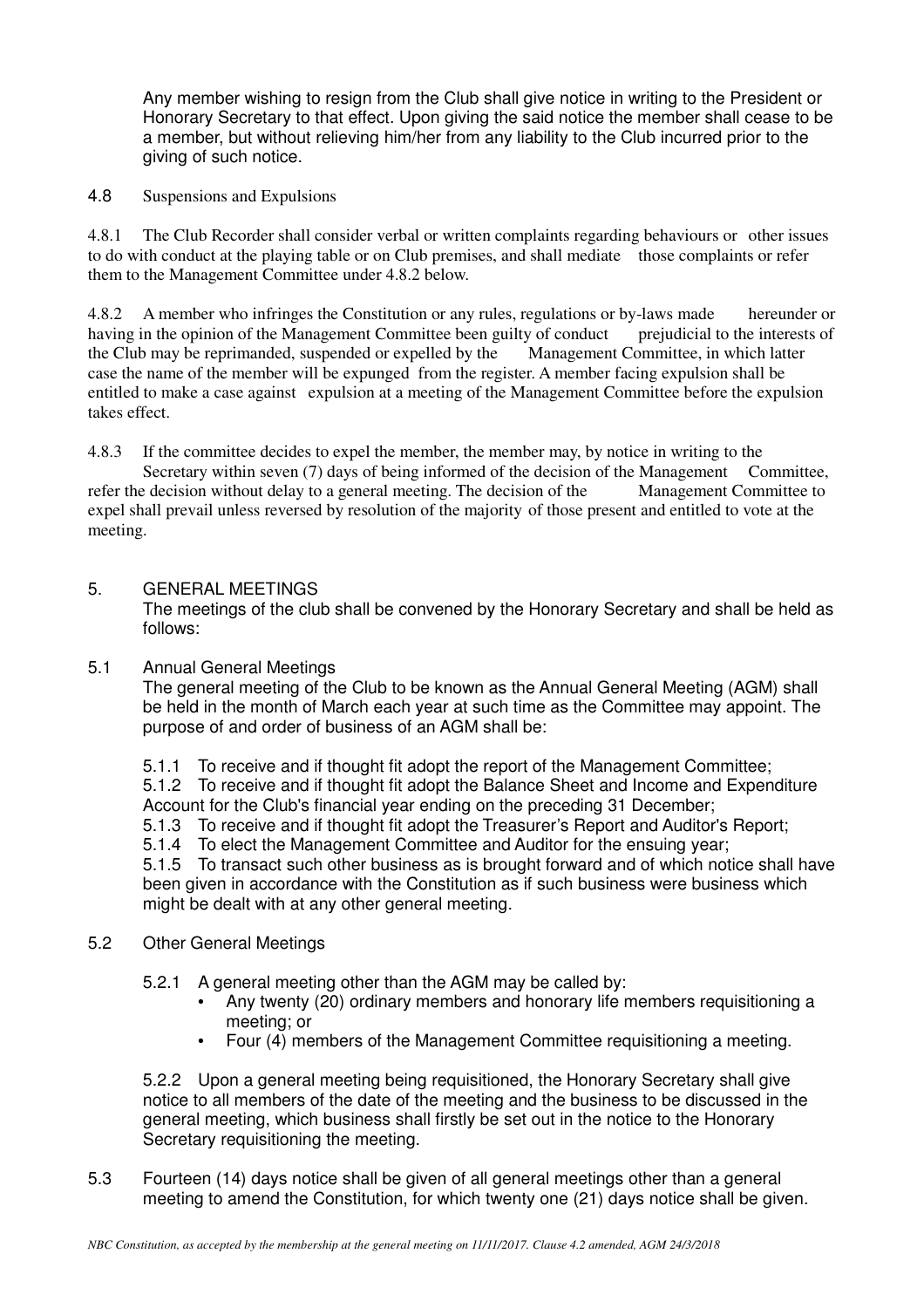Any member wishing to resign from the Club shall give notice in writing to the President or Honorary Secretary to that effect. Upon giving the said notice the member shall cease to be a member, but without relieving him/her from any liability to the Club incurred prior to the giving of such notice.

4.8 Suspensions and Expulsions

4.8.1 The Club Recorder shall consider verbal or written complaints regarding behaviours or other issues to do with conduct at the playing table or on Club premises, and shall mediate those complaints or refer them to the Management Committee under 4.8.2 below.

4.8.2 A member who infringes the Constitution or any rules, regulations or by-laws made hereunder or having in the opinion of the Management Committee been guilty of conduct prejudicial to the interests of having in the opinion of the Management Committee been guilty of conduct prejudicial to the interest the Club may be reprimanded, suspended or expelled by the Management Committee. in which latter the Club may be reprimanded, suspended or expelled by the case the name of the member will be expunged from the register. A member facing expulsion shall be entitled to make a case against expulsion at a meeting of the Management Committee before the expulsion takes effect.

4.8.3 If the committee decides to expel the member, the member may, by notice in writing to the Secretary within seven (7) days of being informed of the decision of the Management Committee, refer the decision without delay to a general meeting. The decision of the Management Committee to expel shall prevail unless reversed by resolution of the majority of those present and entitled to vote at the meeting.

## 5. GENERAL MEETINGS

 The meetings of the club shall be convened by the Honorary Secretary and shall be held as follows:

5.1 Annual General Meetings

 The general meeting of the Club to be known as the Annual General Meeting (AGM) shall be held in the month of March each year at such time as the Committee may appoint. The purpose of and order of business of an AGM shall be:

 5.1.1 To receive and if thought fit adopt the report of the Management Committee; 5.1.2 To receive and if thought fit adopt the Balance Sheet and Income and Expenditure Account for the Club's financial year ending on the preceding 31 December;

5.1.3 To receive and if thought fit adopt the Treasurer's Report and Auditor's Report;

5.1.4 To elect the Management Committee and Auditor for the ensuing year;

 5.1.5 To transact such other business as is brought forward and of which notice shall have been given in accordance with the Constitution as if such business were business which might be dealt with at any other general meeting.

- 5.2 Other General Meetings
	- 5.2.1 A general meeting other than the AGM may be called by:
		- Any twenty (20) ordinary members and honorary life members requisitioning a meeting; or
		- Four (4) members of the Management Committee requisitioning a meeting.

 5.2.2 Upon a general meeting being requisitioned, the Honorary Secretary shall give notice to all members of the date of the meeting and the business to be discussed in the general meeting, which business shall firstly be set out in the notice to the Honorary Secretary requisitioning the meeting.

5.3 Fourteen (14) days notice shall be given of all general meetings other than a general meeting to amend the Constitution, for which twenty one (21) days notice shall be given.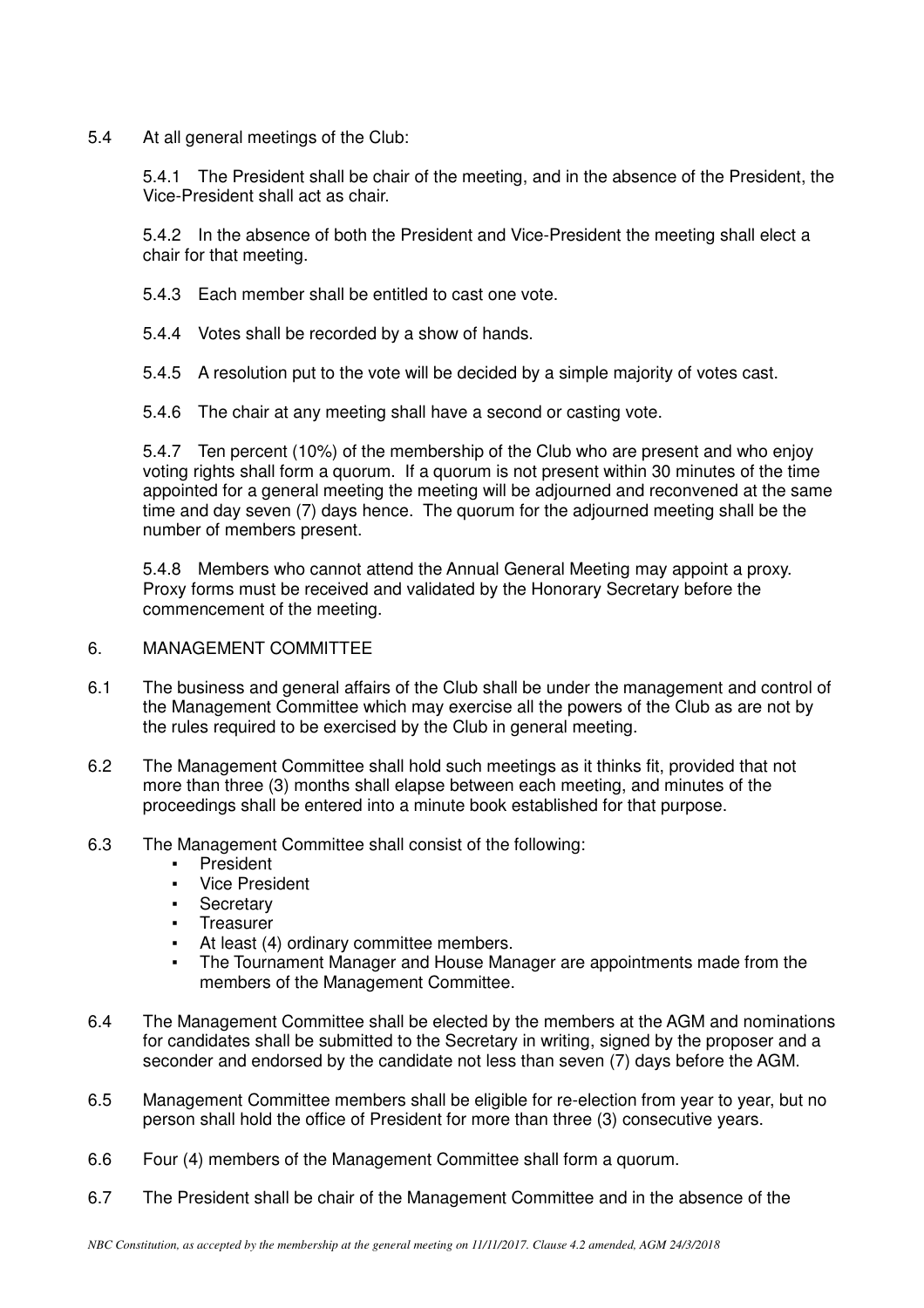5.4 At all general meetings of the Club:

 5.4.1 The President shall be chair of the meeting, and in the absence of the President, the Vice-President shall act as chair.

 5.4.2 In the absence of both the President and Vice-President the meeting shall elect a chair for that meeting.

5.4.3 Each member shall be entitled to cast one vote.

5.4.4 Votes shall be recorded by a show of hands.

5.4.5 A resolution put to the vote will be decided by a simple majority of votes cast.

5.4.6 The chair at any meeting shall have a second or casting vote.

5.4.7 Ten percent (10%) of the membership of the Club who are present and who enjoy voting rights shall form a quorum. If a quorum is not present within 30 minutes of the time appointed for a general meeting the meeting will be adjourned and reconvened at the same time and day seven (7) days hence. The quorum for the adjourned meeting shall be the number of members present.

5.4.8 Members who cannot attend the Annual General Meeting may appoint a proxy. Proxy forms must be received and validated by the Honorary Secretary before the commencement of the meeting.

- 6. MANAGEMENT COMMITTEE
- 6.1 The business and general affairs of the Club shall be under the management and control of the Management Committee which may exercise all the powers of the Club as are not by the rules required to be exercised by the Club in general meeting.
- 6.2 The Management Committee shall hold such meetings as it thinks fit, provided that not more than three (3) months shall elapse between each meeting, and minutes of the proceedings shall be entered into a minute book established for that purpose.
- 6.3 The Management Committee shall consist of the following:
	- **President**
	- **Vice President**
	- **•** Secretary
	- **Treasurer**
	- At least (4) ordinary committee members.
	- The Tournament Manager and House Manager are appointments made from the members of the Management Committee.
- 6.4 The Management Committee shall be elected by the members at the AGM and nominations for candidates shall be submitted to the Secretary in writing, signed by the proposer and a seconder and endorsed by the candidate not less than seven (7) days before the AGM.
- 6.5 Management Committee members shall be eligible for re-election from year to year, but no person shall hold the office of President for more than three (3) consecutive years.
- 6.6 Four (4) members of the Management Committee shall form a quorum.
- 6.7 The President shall be chair of the Management Committee and in the absence of the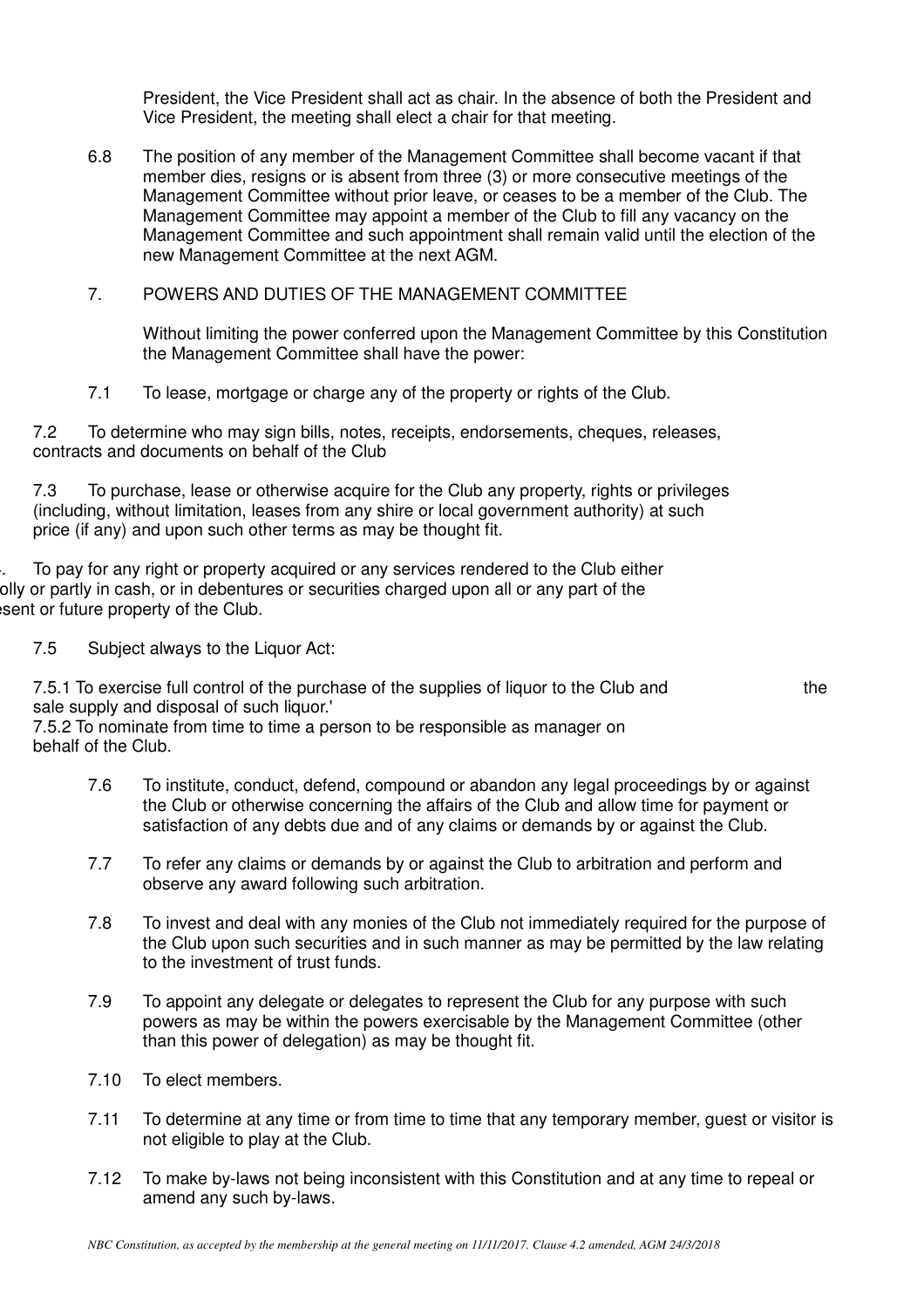President, the Vice President shall act as chair. In the absence of both the President and Vice President, the meeting shall elect a chair for that meeting.

- 6.8 The position of any member of the Management Committee shall become vacant if that member dies, resigns or is absent from three (3) or more consecutive meetings of the Management Committee without prior leave, or ceases to be a member of the Club. The Management Committee may appoint a member of the Club to fill any vacancy on the Management Committee and such appointment shall remain valid until the election of the new Management Committee at the next AGM.
- 7. POWERS AND DUTIES OF THE MANAGEMENT COMMITTEE

 Without limiting the power conferred upon the Management Committee by this Constitution the Management Committee shall have the power:

7.1 To lease, mortgage or charge any of the property or rights of the Club.

7.2 To determine who may sign bills, notes, receipts, endorsements, cheques, releases, contracts and documents on behalf of the Club

7.3 To purchase, lease or otherwise acquire for the Club any property, rights or privileges (including, without limitation, leases from any shire or local government authority) at such price (if any) and upon such other terms as may be thought fit.

To pay for any right or property acquired or any services rendered to the Club either olly or partly in cash, or in debentures or securities charged upon all or any part of the esent or future property of the Club.

7.5 Subject always to the Liquor Act:

7.5.1 To exercise full control of the purchase of the supplies of liquor to the Club and the sale supply and disposal of such liquor.'

7.5.2 To nominate from time to time a person to be responsible as manager on behalf of the Club.

- 7.6 To institute, conduct, defend, compound or abandon any legal proceedings by or against the Club or otherwise concerning the affairs of the Club and allow time for payment or satisfaction of any debts due and of any claims or demands by or against the Club.
- 7.7 To refer any claims or demands by or against the Club to arbitration and perform and observe any award following such arbitration.
- 7.8 To invest and deal with any monies of the Club not immediately required for the purpose of the Club upon such securities and in such manner as may be permitted by the law relating to the investment of trust funds.
- 7.9 To appoint any delegate or delegates to represent the Club for any purpose with such powers as may be within the powers exercisable by the Management Committee (other than this power of delegation) as may be thought fit.
- 7.10 To elect members.
- 7.11 To determine at any time or from time to time that any temporary member, guest or visitor is not eligible to play at the Club.
- 7.12 To make by-laws not being inconsistent with this Constitution and at any time to repeal or amend any such by-laws.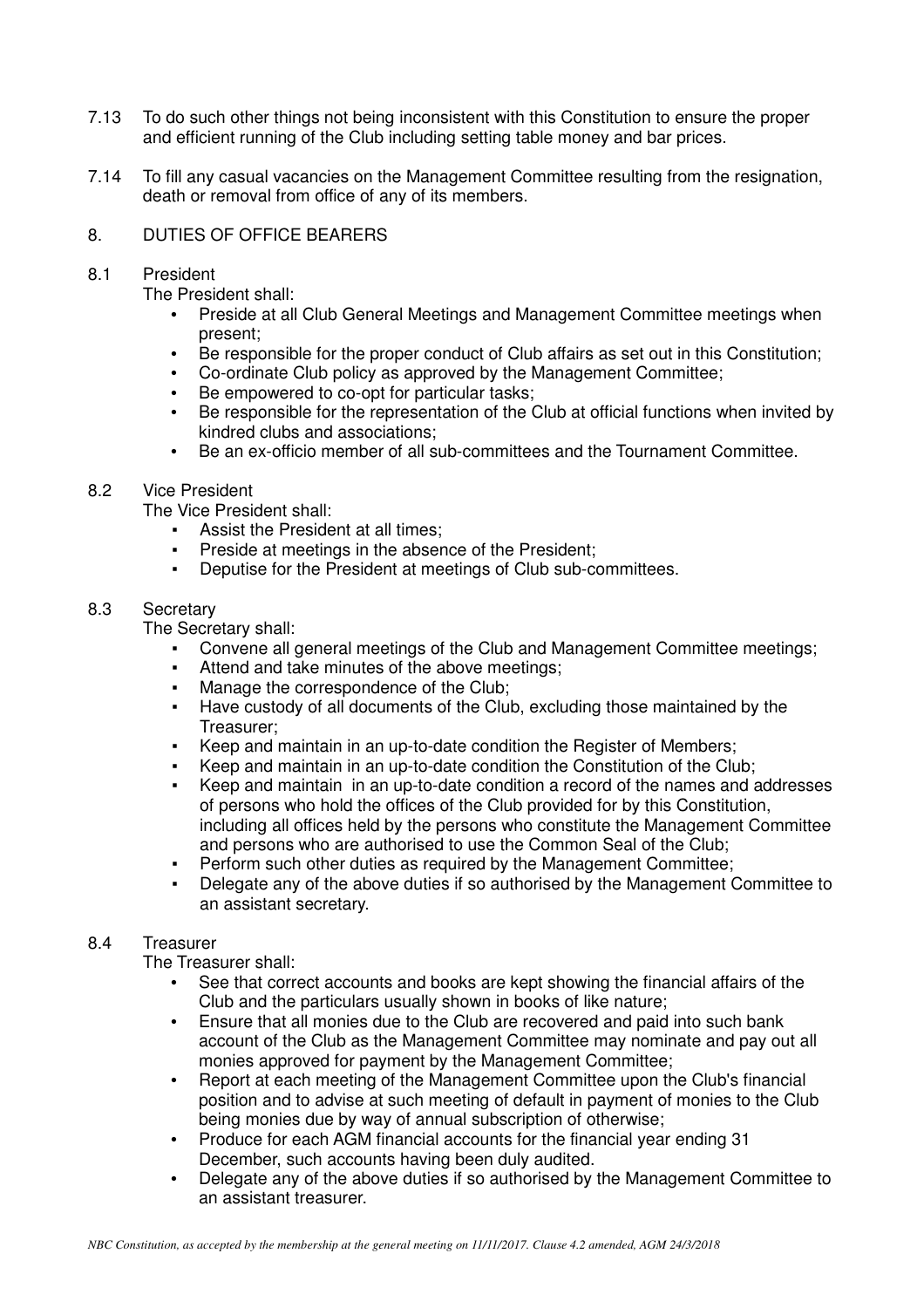- 7.13 To do such other things not being inconsistent with this Constitution to ensure the proper and efficient running of the Club including setting table money and bar prices.
- 7.14 To fill any casual vacancies on the Management Committee resulting from the resignation, death or removal from office of any of its members.

## 8. DUTIES OF OFFICE BEARERS

## 8.1 President

The President shall:

- Preside at all Club General Meetings and Management Committee meetings when present;
- Be responsible for the proper conduct of Club affairs as set out in this Constitution;
- Co-ordinate Club policy as approved by the Management Committee;
- Be empowered to co-opt for particular tasks:
- Be responsible for the representation of the Club at official functions when invited by kindred clubs and associations;
- Be an ex-officio member of all sub-committees and the Tournament Committee.

# 8.2 Vice President

The Vice President shall:

- Assist the President at all times;
- Preside at meetings in the absence of the President:
- Deputise for the President at meetings of Club sub-committees.

# 8.3 Secretary

The Secretary shall:

- Convene all general meetings of the Club and Management Committee meetings;
- Attend and take minutes of the above meetings:
- Manage the correspondence of the Club;
- Have custody of all documents of the Club, excluding those maintained by the Treasurer;
- Keep and maintain in an up-to-date condition the Register of Members;
- Keep and maintain in an up-to-date condition the Constitution of the Club;
- Keep and maintain in an up-to-date condition a record of the names and addresses of persons who hold the offices of the Club provided for by this Constitution, including all offices held by the persons who constitute the Management Committee and persons who are authorised to use the Common Seal of the Club;
- Perform such other duties as required by the Management Committee;
- Delegate any of the above duties if so authorised by the Management Committee to an assistant secretary.

# 8.4 Treasurer

The Treasurer shall:

- See that correct accounts and books are kept showing the financial affairs of the Club and the particulars usually shown in books of like nature;
- Ensure that all monies due to the Club are recovered and paid into such bank account of the Club as the Management Committee may nominate and pay out all monies approved for payment by the Management Committee;
- Report at each meeting of the Management Committee upon the Club's financial position and to advise at such meeting of default in payment of monies to the Club being monies due by way of annual subscription of otherwise;
- Produce for each AGM financial accounts for the financial year ending 31 December, such accounts having been duly audited.
- Delegate any of the above duties if so authorised by the Management Committee to an assistant treasurer.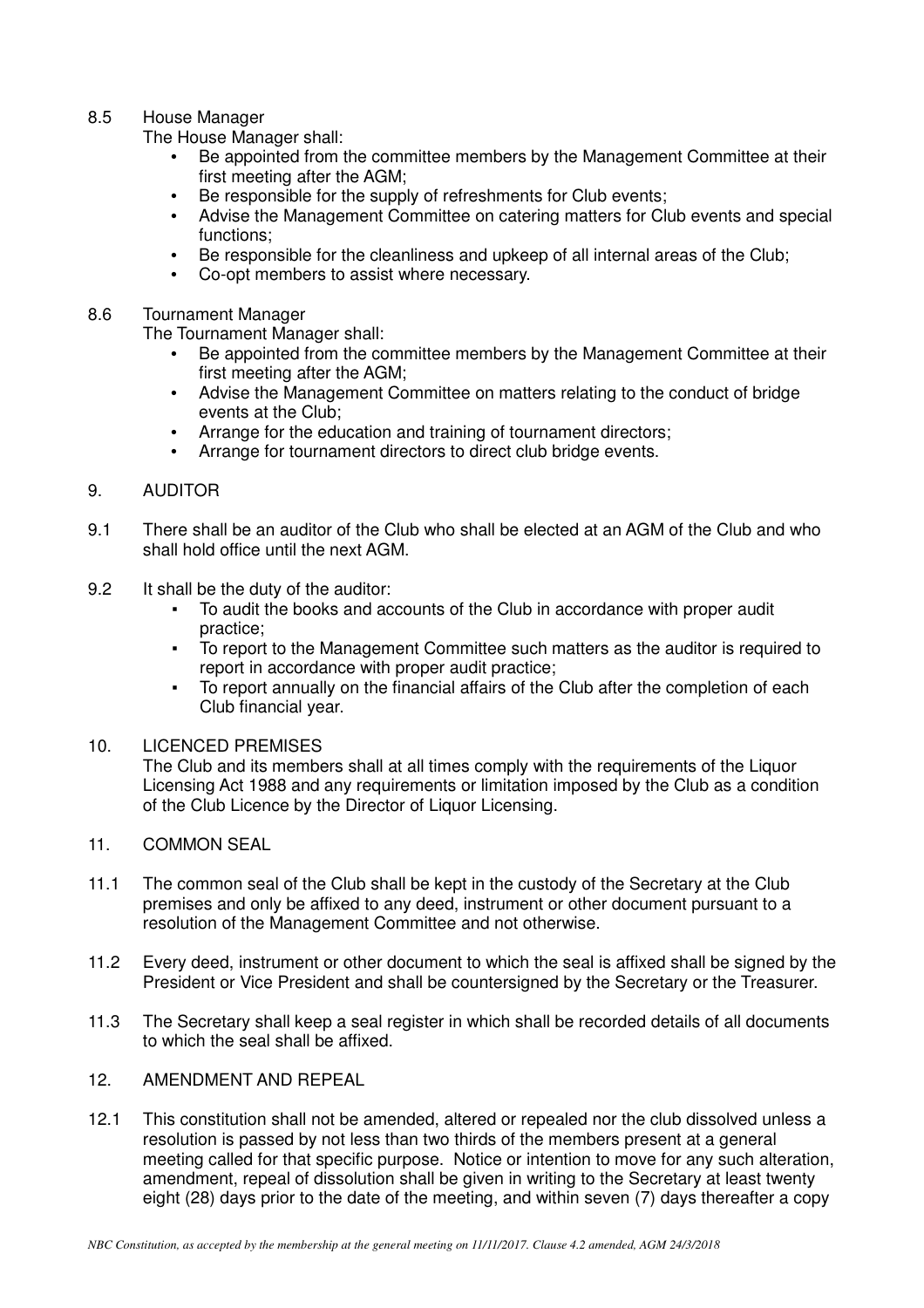## 8.5 House Manager

The House Manager shall:

- Be appointed from the committee members by the Management Committee at their first meeting after the AGM;
- Be responsible for the supply of refreshments for Club events;
- Advise the Management Committee on catering matters for Club events and special functions;
- Be responsible for the cleanliness and upkeep of all internal areas of the Club;
- Co-opt members to assist where necessary.

## 8.6 Tournament Manager

The Tournament Manager shall:

- Be appointed from the committee members by the Management Committee at their first meeting after the AGM;
- Advise the Management Committee on matters relating to the conduct of bridge events at the Club;
- Arrange for the education and training of tournament directors;
- Arrange for tournament directors to direct club bridge events.

## 9. AUDITOR

- 9.1 There shall be an auditor of the Club who shall be elected at an AGM of the Club and who shall hold office until the next AGM.
- 9.2 It shall be the duty of the auditor:
	- To audit the books and accounts of the Club in accordance with proper audit practice;
	- To report to the Management Committee such matters as the auditor is required to report in accordance with proper audit practice;
	- To report annually on the financial affairs of the Club after the completion of each Club financial year.

## 10. LICENCED PREMISES

 The Club and its members shall at all times comply with the requirements of the Liquor Licensing Act 1988 and any requirements or limitation imposed by the Club as a condition of the Club Licence by the Director of Liquor Licensing.

- 11. COMMON SEAL
- 11.1 The common seal of the Club shall be kept in the custody of the Secretary at the Club premises and only be affixed to any deed, instrument or other document pursuant to a resolution of the Management Committee and not otherwise.
- 11.2 Every deed, instrument or other document to which the seal is affixed shall be signed by the President or Vice President and shall be countersigned by the Secretary or the Treasurer.
- 11.3 The Secretary shall keep a seal register in which shall be recorded details of all documents to which the seal shall be affixed.
- 12. AMENDMENT AND REPEAL
- 12.1 This constitution shall not be amended, altered or repealed nor the club dissolved unless a resolution is passed by not less than two thirds of the members present at a general meeting called for that specific purpose. Notice or intention to move for any such alteration, amendment, repeal of dissolution shall be given in writing to the Secretary at least twenty eight (28) days prior to the date of the meeting, and within seven (7) days thereafter a copy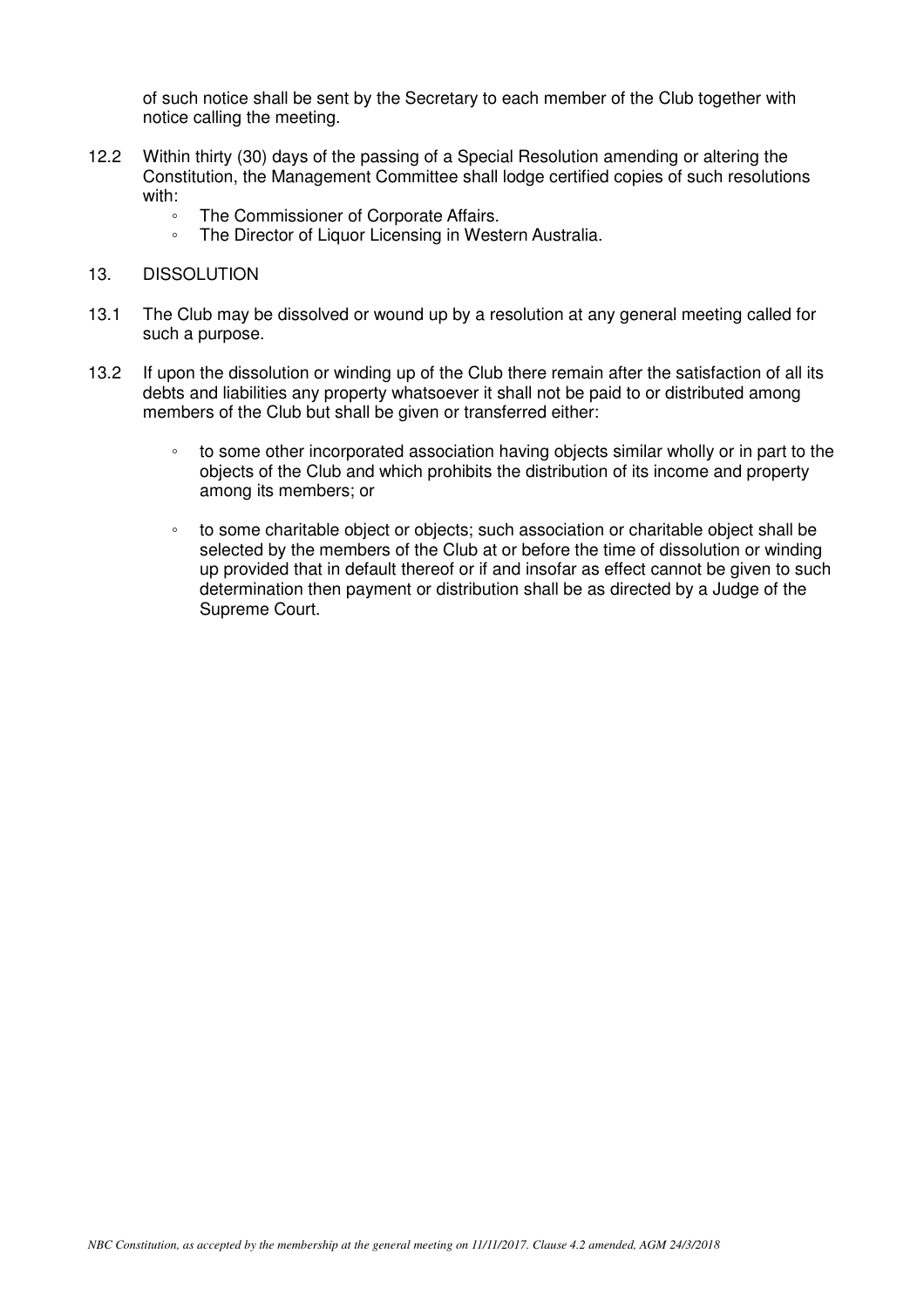of such notice shall be sent by the Secretary to each member of the Club together with notice calling the meeting.

- 12.2 Within thirty (30) days of the passing of a Special Resolution amending or altering the Constitution, the Management Committee shall lodge certified copies of such resolutions with:
	- The Commissioner of Corporate Affairs.
	- The Director of Liquor Licensing in Western Australia.

#### 13. DISSOLUTION

- 13.1 The Club may be dissolved or wound up by a resolution at any general meeting called for such a purpose.
- 13.2 If upon the dissolution or winding up of the Club there remain after the satisfaction of all its debts and liabilities any property whatsoever it shall not be paid to or distributed among members of the Club but shall be given or transferred either:
	- to some other incorporated association having objects similar wholly or in part to the objects of the Club and which prohibits the distribution of its income and property among its members; or
	- to some charitable object or objects; such association or charitable object shall be selected by the members of the Club at or before the time of dissolution or winding up provided that in default thereof or if and insofar as effect cannot be given to such determination then payment or distribution shall be as directed by a Judge of the Supreme Court.